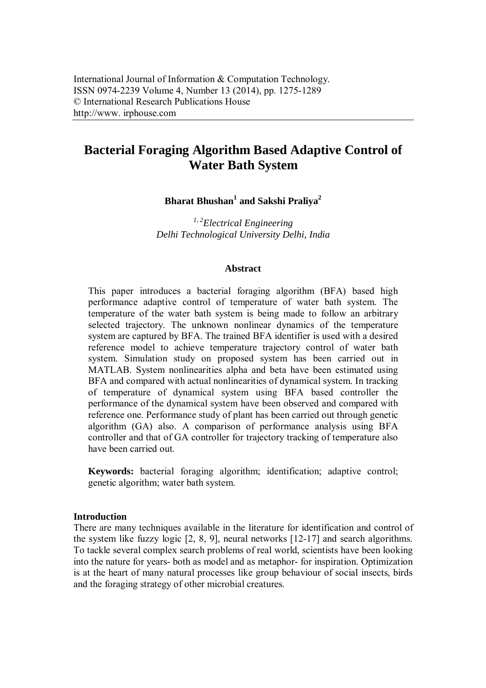# **Bacterial Foraging Algorithm Based Adaptive Control of Water Bath System**

**Bharat Bhushan<sup>1</sup> and Sakshi Praliya<sup>2</sup>**

*1, 2 Electrical Engineering Delhi Technological University Delhi, India*

### **Abstract**

This paper introduces a bacterial foraging algorithm (BFA) based high performance adaptive control of temperature of water bath system. The temperature of the water bath system is being made to follow an arbitrary selected trajectory. The unknown nonlinear dynamics of the temperature system are captured by BFA. The trained BFA identifier is used with a desired reference model to achieve temperature trajectory control of water bath system. Simulation study on proposed system has been carried out in MATLAB. System nonlinearities alpha and beta have been estimated using BFA and compared with actual nonlinearities of dynamical system. In tracking of temperature of dynamical system using BFA based controller the performance of the dynamical system have been observed and compared with reference one. Performance study of plant has been carried out through genetic algorithm (GA) also. A comparison of performance analysis using BFA controller and that of GA controller for trajectory tracking of temperature also have been carried out.

**Keywords:** bacterial foraging algorithm; identification; adaptive control; genetic algorithm; water bath system.

### **Introduction**

There are many techniques available in the literature for identification and control of the system like fuzzy logic [2, 8, 9], neural networks [12-17] and search algorithms. To tackle several complex search problems of real world, scientists have been looking into the nature for years- both as model and as metaphor- for inspiration. Optimization is at the heart of many natural processes like group behaviour of social insects, birds and the foraging strategy of other microbial creatures.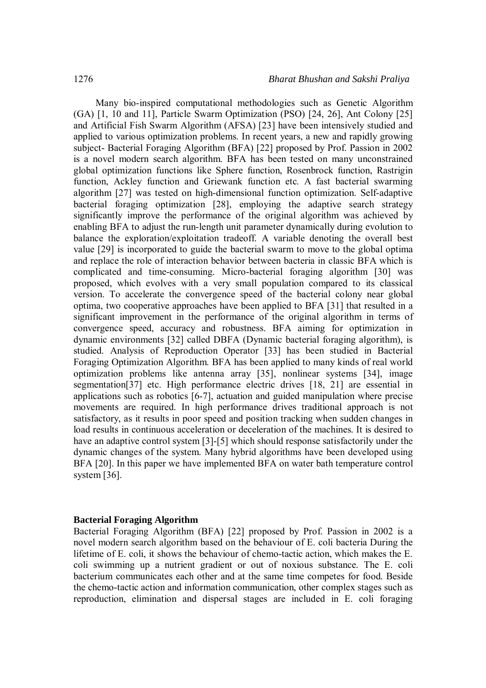Many bio-inspired computational methodologies such as Genetic Algorithm (GA) [1, 10 and 11], Particle Swarm Optimization (PSO) [24, 26], Ant Colony [25] and Artificial Fish Swarm Algorithm (AFSA) [23] have been intensively studied and applied to various optimization problems. In recent years, a new and rapidly growing subject- Bacterial Foraging Algorithm (BFA) [22] proposed by Prof. Passion in 2002 is a novel modern search algorithm. BFA has been tested on many unconstrained global optimization functions like Sphere function, Rosenbrock function, Rastrigin function, Ackley function and Griewank function etc. A fast bacterial swarming algorithm [27] was tested on high-dimensional function optimization. Self-adaptive bacterial foraging optimization [28], employing the adaptive search strategy significantly improve the performance of the original algorithm was achieved by enabling BFA to adjust the run-length unit parameter dynamically during evolution to balance the exploration/exploitation tradeoff. A variable denoting the overall best value [29] is incorporated to guide the bacterial swarm to move to the global optima and replace the role of interaction behavior between bacteria in classic BFA which is complicated and time-consuming. Micro-bacterial foraging algorithm [30] was proposed, which evolves with a very small population compared to its classical version. To accelerate the convergence speed of the bacterial colony near global optima, two cooperative approaches have been applied to BFA [31] that resulted in a significant improvement in the performance of the original algorithm in terms of convergence speed, accuracy and robustness. BFA aiming for optimization in dynamic environments [32] called DBFA (Dynamic bacterial foraging algorithm), is studied. Analysis of Reproduction Operator [33] has been studied in Bacterial Foraging Optimization Algorithm. BFA has been applied to many kinds of real world optimization problems like antenna array [35], nonlinear systems [34], image segmentation<sup>[37]</sup> etc. High performance electric drives [18, 21] are essential in applications such as robotics [6-7], actuation and guided manipulation where precise movements are required. In high performance drives traditional approach is not satisfactory, as it results in poor speed and position tracking when sudden changes in load results in continuous acceleration or deceleration of the machines. It is desired to have an adaptive control system [3]-[5] which should response satisfactorily under the dynamic changes of the system. Many hybrid algorithms have been developed using BFA [20]. In this paper we have implemented BFA on water bath temperature control system [36].

#### **Bacterial Foraging Algorithm**

Bacterial Foraging Algorithm (BFA) [22] proposed by Prof. Passion in 2002 is a novel modern search algorithm based on the behaviour of E. coli bacteria During the lifetime of E. coli, it shows the behaviour of chemo-tactic action, which makes the E. coli swimming up a nutrient gradient or out of noxious substance. The E. coli bacterium communicates each other and at the same time competes for food. Beside the chemo-tactic action and information communication, other complex stages such as reproduction, elimination and dispersal stages are included in E. coli foraging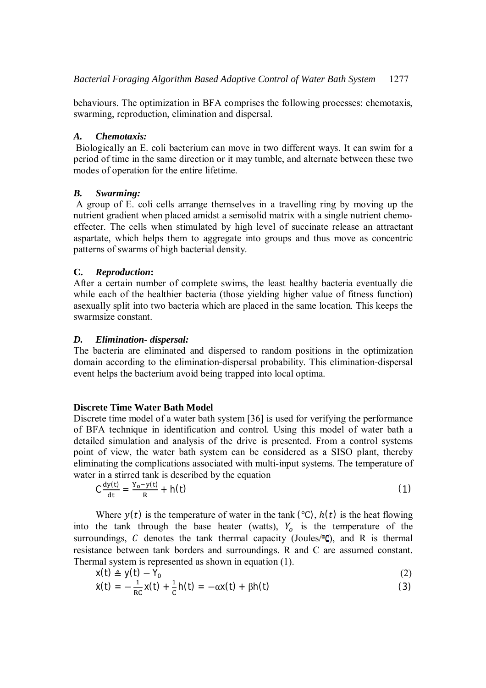behaviours. The optimization in BFA comprises the following processes: chemotaxis, swarming, reproduction, elimination and dispersal.

### *A. Chemotaxis:*

Biologically an E. coli bacterium can move in two different ways. It can swim for a period of time in the same direction or it may tumble, and alternate between these two modes of operation for the entire lifetime.

## *B. Swarming:*

A group of E. coli cells arrange themselves in a travelling ring by moving up the nutrient gradient when placed amidst a semisolid matrix with a single nutrient chemoeffecter. The cells when stimulated by high level of succinate release an attractant aspartate, which helps them to aggregate into groups and thus move as concentric patterns of swarms of high bacterial density.

# **C.** *Reproduction***:**

After a certain number of complete swims, the least healthy bacteria eventually die while each of the healthier bacteria (those yielding higher value of fitness function) asexually split into two bacteria which are placed in the same location. This keeps the swarmsize constant.

# *D. Elimination- dispersal:*

The bacteria are eliminated and dispersed to random positions in the optimization domain according to the elimination-dispersal probability. This elimination-dispersal event helps the bacterium avoid being trapped into local optima.

# **Discrete Time Water Bath Model**

Discrete time model of a water bath system [36] is used for verifying the performance of BFA technique in identification and control. Using this model of water bath a detailed simulation and analysis of the drive is presented. From a control systems point of view, the water bath system can be considered as a SISO plant, thereby eliminating the complications associated with multi-input systems. The temperature of water in a stirred tank is described by the equation

$$
C\frac{dy(t)}{dt} = \frac{Y_0 - y(t)}{R} + h(t)
$$
 (1)

Where  $y(t)$  is the temperature of water in the tank (°C),  $h(t)$  is the heat flowing into the tank through the base heater (watts),  $Y_o$  is the temperature of the surroundings,  $C$  denotes the tank thermal capacity (Joules/ $TC$ ), and R is thermal resistance between tank borders and surroundings. R and C are assumed constant. Thermal system is represented as shown in equation (1).

$$
x(t) \triangleq y(t) - Y_0
$$
  
\n
$$
\dot{x}(t) = -\frac{1}{RC}x(t) + \frac{1}{C}h(t) = -\alpha x(t) + \beta h(t)
$$
\n(2)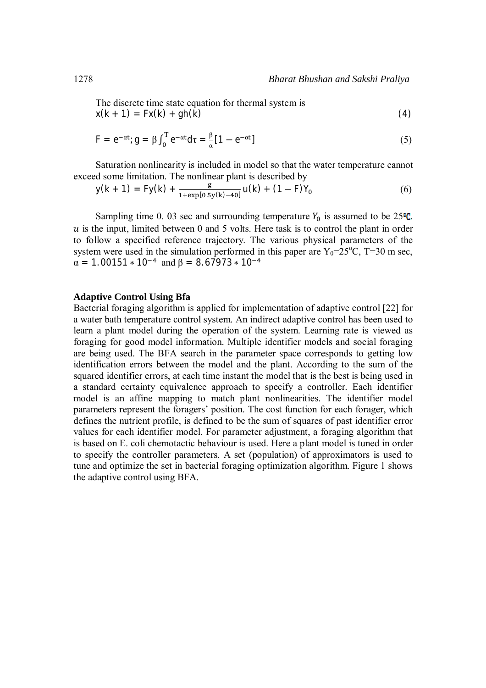The discrete time state equation for thermal system is  $x(k + 1) = Fx(k) + gh(k)$  (4)

$$
\mathsf{F} = e^{-\alpha t}; \mathsf{g} = \beta \int_0^{\mathrm{T}} e^{-\alpha t} d\tau = \frac{\beta}{\alpha} [1 - e^{-\alpha t}]
$$
\n
$$
\tag{5}
$$

Saturation nonlinearity is included in model so that the water temperature cannot exceed some limitation. The nonlinear plant is described by

$$
y(k + 1) = Fy(k) + \frac{g}{1 + \exp[0.5y(k) - 40]}u(k) + (1 - F)Y_0
$$
 (6)

Sampling time 0. 03 sec and surrounding temperature  $Y_0$  is assumed to be 25 $\degree$ C.  $u$  is the input, limited between 0 and 5 volts. Here task is to control the plant in order to follow a specified reference trajectory. The various physical parameters of the system were used in the simulation performed in this paper are  $Y_0=25^{\circ}C$ , T=30 m sec,  $\alpha = 1.00151 * 10^{-4}$  and  $\beta = 8.67973 * 10^{-4}$ 

#### **Adaptive Control Using Bfa**

Bacterial foraging algorithm is applied for implementation of adaptive control [22] for a water bath temperature control system. An indirect adaptive control has been used to learn a plant model during the operation of the system. Learning rate is viewed as foraging for good model information. Multiple identifier models and social foraging are being used. The BFA search in the parameter space corresponds to getting low identification errors between the model and the plant. According to the sum of the squared identifier errors, at each time instant the model that is the best is being used in a standard certainty equivalence approach to specify a controller. Each identifier model is an affine mapping to match plant nonlinearities. The identifier model parameters represent the foragers' position. The cost function for each forager, which defines the nutrient profile, is defined to be the sum of squares of past identifier error values for each identifier model. For parameter adjustment, a foraging algorithm that is based on E. coli chemotactic behaviour is used. Here a plant model is tuned in order to specify the controller parameters. A set (population) of approximators is used to tune and optimize the set in bacterial foraging optimization algorithm. Figure 1 shows the adaptive control using BFA.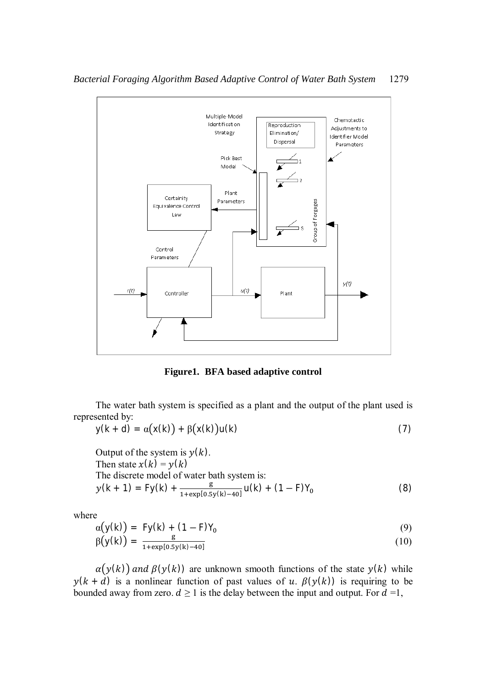

**Figure1. BFA based adaptive control**

The water bath system is specified as a plant and the output of the plant used is represented by:

$$
y(k + d) = \alpha(x(k)) + \beta(x(k))u(k)
$$
\n(7)

Output of the system is 
$$
y(k)
$$
.  
\nThen state  $x(k) = y(k)$   
\nThe discrete model of water bath system is:  
\n $y(k + 1) = Fy(k) + \frac{g}{1 + \exp[0.5y(k) - 40]}u(k) + (1 - F)Y_0$  (8)

where

$$
\alpha\big(\mathsf{y}(k)\big) = \mathsf{F}\mathsf{y}(k) + (1 - \mathsf{F})\mathsf{Y}_0 \tag{9}
$$

$$
\beta(y(k)) = \frac{g}{1 + \exp[0.5y(k) - 40]}
$$
 (10)

 $\alpha(y(k))$  and  $\beta(y(k))$  are unknown smooth functions of the state  $y(k)$  while  $y(k + d)$  is a nonlinear function of past values of u.  $\beta(y(k))$  is requiring to be bounded away from zero.  $d \ge 1$  is the delay between the input and output. For  $d = 1$ ,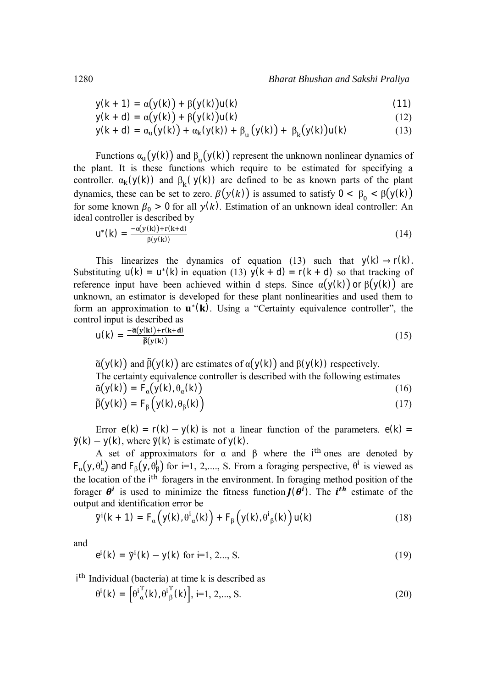$$
y(k + 1) = \alpha(y(k)) + \beta(y(k))u(k)
$$
\n(11)

$$
y(k + d) = \alpha(y(k)) + \beta(y(k))u(k)
$$
\n(12)

$$
y(k + d) = \alpha_{u}(y(k)) + \alpha_{k}(y(k)) + \beta_{u}(y(k)) + \beta_{k}(y(k))u(k)
$$
 (13)

Functions  $\alpha$ <sub>u</sub> $(y(k))$  and  $\beta$ <sub>u</sub> $(y(k))$  represent the unknown nonlinear dynamics of the plant. It is these functions which require to be estimated for specifying a controller.  $\alpha_k(y(k))$  and  $\beta_k(y(k))$  are defined to be as known parts of the plant dynamics, these can be set to zero.  $\beta(y(k))$  is assumed to satisfy  $0 < \beta_0 < \beta(y(k))$ for some known  $\beta_0 > 0$  for all  $y(k)$ . Estimation of an unknown ideal controller: An ideal controller is described by

$$
u^*(k) = \frac{-\alpha(y(k)) + r(k+d)}{\beta(y(k))}
$$
\n(14)

This linearizes the dynamics of equation (13) such that  $y(k) \rightarrow r(k)$ . Substituting  $u(k) = u^*(k)$  in equation (13)  $y(k + d) = r(k + d)$  so that tracking of reference input have been achieved within d steps. Since  $\alpha(y(k))$  or  $\beta(y(k))$  are unknown, an estimator is developed for these plant nonlinearities and used them to form an approximation to  $\mathbf{u}^*(\mathbf{k})$ . Using a "Certainty equivalence controller", the control input is described as

$$
u(k) = \frac{-\tilde{\alpha}(y(k)) + r(k+d)}{\tilde{\beta}(y(k))}
$$
\n(15)

 $\tilde{\alpha}(y(k))$  and  $\tilde{\beta}(y(k))$  are estimates of  $\alpha(y(k))$  and  $\beta(y(k))$  respectively. The certainty equivalence controller is described with the following estimates  $\tilde{\alpha}(y(k)) = F_{\alpha}(y(k), \theta_{\alpha}(k))$  $(k)$  (16)

$$
\tilde{\beta}(y(k)) = F_{\beta}(y(k), \theta_{\beta}(k))
$$
\n(17)

Error  $e(k) = r(k) - y(k)$  is not a linear function of the parameters.  $e(k) =$  $\tilde{y}(k) - y(k)$ , where  $\tilde{y}(k)$  is estimate of  $y(k)$ .

A set of approximators for  $\alpha$  and  $\beta$  where the i<sup>th</sup> ones are denoted by  $F_{\alpha}(y, \theta_{\alpha}^{i})$  and  $F_{\beta}(y, \theta_{\beta}^{i})$  for i=1, 2,...., S. From a foraging perspective,  $\theta^{i}$  is viewed as the location of the i<sup>th</sup> foragers in the environment. In foraging method position of the forager  $\theta^i$  is used to minimize the fitness function  $J(\theta^i)$ . The *i*<sup>th</sup> estimate of the output and identification error be

$$
\tilde{y}^{i}(k+1) = F_{\alpha}\left(y(k), \theta^{i}{}_{\alpha}(k)\right) + F_{\beta}\left(y(k), \theta^{i}{}_{\beta}(k)\right)u(k)
$$
\n(18)

and

$$
e^{i}(k) = \tilde{y}^{i}(k) - y(k) \text{ for } i=1, 2..., S. \qquad (19)
$$

i<sup>th</sup> Individual (bacteria) at time k is described as

$$
\theta^i(k) = \left[\theta^i_{\alpha}^T(k), \theta^i_{\beta}^T(k)\right], i=1, 2, \dots, S. \tag{20}
$$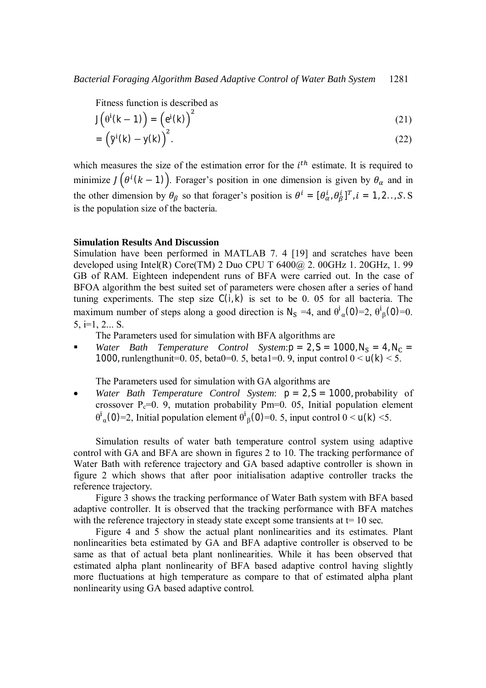Fitness function is described as

$$
J(\theta^{i}(k-1)) = (e^{i}(k))^{2}
$$
 (21)

$$
= \left(\tilde{y}^{i}(k) - y(k)\right)^{2}.
$$
 (22)

which measures the size of the estimation error for the  $i<sup>th</sup>$  estimate. It is required to minimize  $J(\theta^{i}(k-1))$ . Forager's position in one dimension is given by  $\theta_{\alpha}$  and in the other dimension by  $\theta_{\beta}$  so that forager's position is  $\theta^{i} = [\theta_{\alpha}^{i}, \theta_{\beta}^{i}]^{T}$ ,  $i = 1, 2, ..., S$ . S is the population size of the bacteria.

#### **Simulation Results And Discussion**

Simulation have been performed in MATLAB 7. 4 [19] and scratches have been developed using Intel(R) Core(TM) 2 Duo CPU T  $6400@$  2. 00GHz 1. 20GHz, 1. 99 GB of RAM. Eighteen independent runs of BFA were carried out. In the case of BFOA algorithm the best suited set of parameters were chosen after a series of hand tuning experiments. The step size  $C(i, k)$  is set to be 0. 05 for all bacteria. The maximum number of steps along a good direction is  $N_S = 4$ , and  $\theta^i$  $_{\alpha}$ (0)=2,  $\theta$ <sup>i</sup>  $_{\beta}(0)=0.$  $5, i=1, 2...$  S.

The Parameters used for simulation with BFA algorithms are

*Water Bath Temperature Control System***:** $p = 2$ ,  $S = 1000$ ,  $N_S = 4$ ,  $N_C =$ 1000, runlengthunit=0. 05, beta0=0. 5, beta1=0. 9, input control  $0 < u(k) < 5$ .

The Parameters used for simulation with GA algorithms are

• *Water Bath Temperature Control System*:  $p = 2, S = 1000$ , probability of crossover  $P_c=0.9$ , mutation probability Pm=0. 05, Initial population element  $\theta^{\text{i}}$ <sub>α</sub>(0)=2, Initial population element θ<sup>i</sup>  $\beta$ (0)=0. 5, input control 0 < u(k) <5.

Simulation results of water bath temperature control system using adaptive control with GA and BFA are shown in figures 2 to 10. The tracking performance of Water Bath with reference trajectory and GA based adaptive controller is shown in figure 2 which shows that after poor initialisation adaptive controller tracks the reference trajectory.

Figure 3 shows the tracking performance of Water Bath system with BFA based adaptive controller. It is observed that the tracking performance with BFA matches with the reference trajectory in steady state except some transients at  $t=10$  sec.

Figure 4 and 5 show the actual plant nonlinearities and its estimates. Plant nonlinearities beta estimated by GA and BFA adaptive controller is observed to be same as that of actual beta plant nonlinearities. While it has been observed that estimated alpha plant nonlinearity of BFA based adaptive control having slightly more fluctuations at high temperature as compare to that of estimated alpha plant nonlinearity using GA based adaptive control.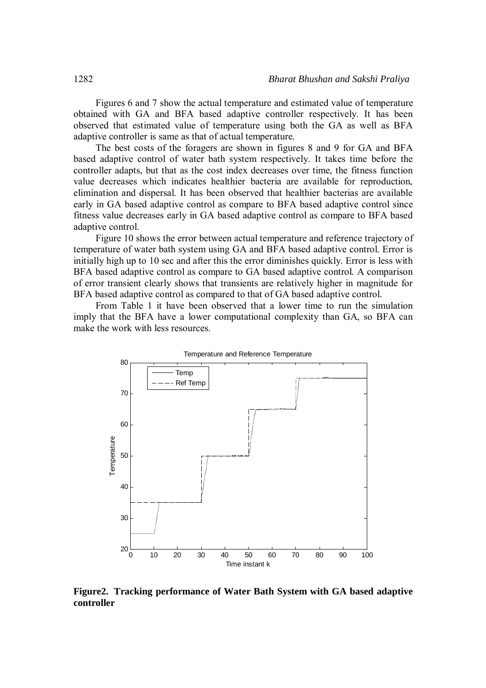Figures 6 and 7 show the actual temperature and estimated value of temperature obtained with GA and BFA based adaptive controller respectively. It has been observed that estimated value of temperature using both the GA as well as BFA adaptive controller is same as that of actual temperature.

The best costs of the foragers are shown in figures 8 and 9 for GA and BFA based adaptive control of water bath system respectively. It takes time before the controller adapts, but that as the cost index decreases over time, the fitness function value decreases which indicates healthier bacteria are available for reproduction, elimination and dispersal. It has been observed that healthier bacterias are available early in GA based adaptive control as compare to BFA based adaptive control since fitness value decreases early in GA based adaptive control as compare to BFA based adaptive control.

Figure 10 shows the error between actual temperature and reference trajectory of temperature of water bath system using GA and BFA based adaptive control. Error is initially high up to 10 sec and after this the error diminishes quickly. Error is less with BFA based adaptive control as compare to GA based adaptive control. A comparison of error transient clearly shows that transients are relatively higher in magnitude for BFA based adaptive control as compared to that of GA based adaptive control.

From Table 1 it have been observed that a lower time to run the simulation imply that the BFA have a lower computational complexity than GA, so BFA can make the work with less resources.



**Figure2. Tracking performance of Water Bath System with GA based adaptive controller**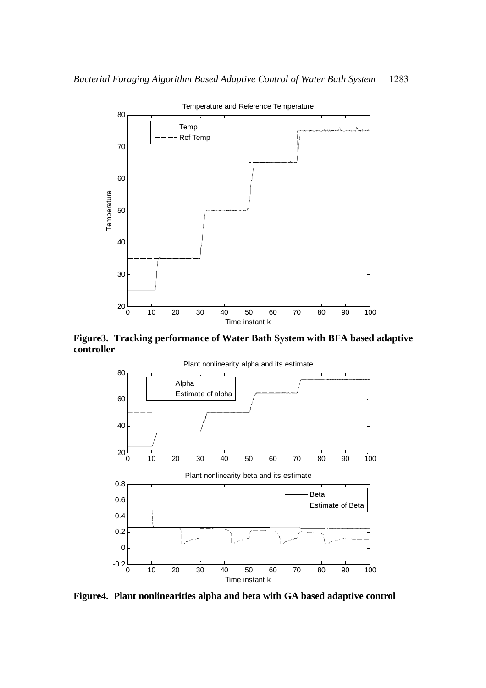

**Figure3. Tracking performance of Water Bath System with BFA based adaptive controller**



**Figure4. Plant nonlinearities alpha and beta with GA based adaptive control**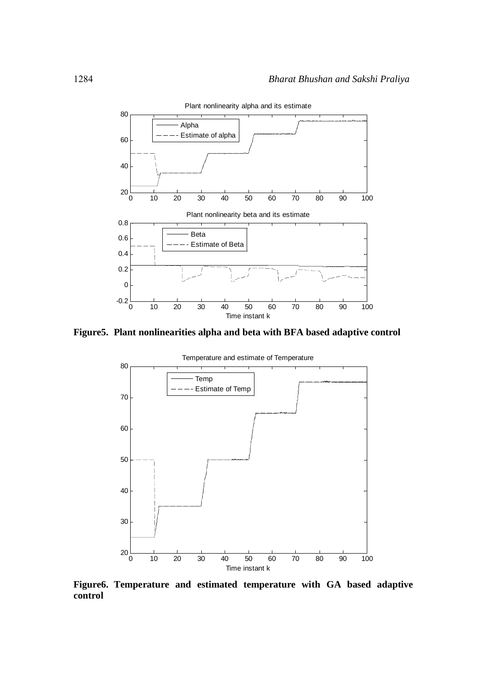

**Figure5. Plant nonlinearities alpha and beta with BFA based adaptive control**



**Figure6. Temperature and estimated temperature with GA based adaptive control**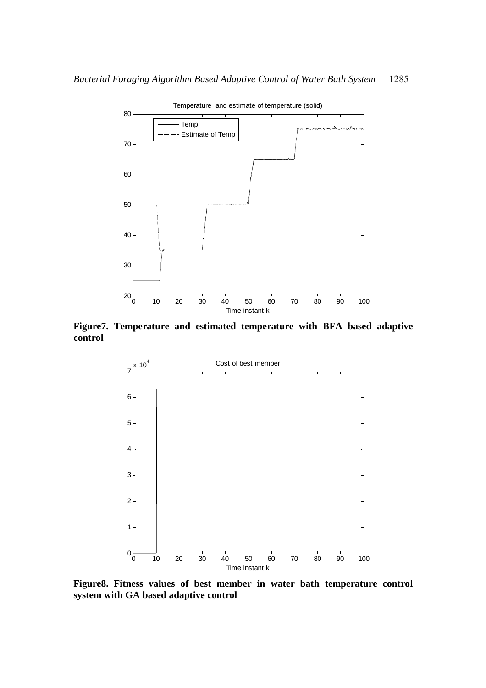

**Figure7. Temperature and estimated temperature with BFA based adaptive control**



**Figure8. Fitness values of best member in water bath temperature control system with GA based adaptive control**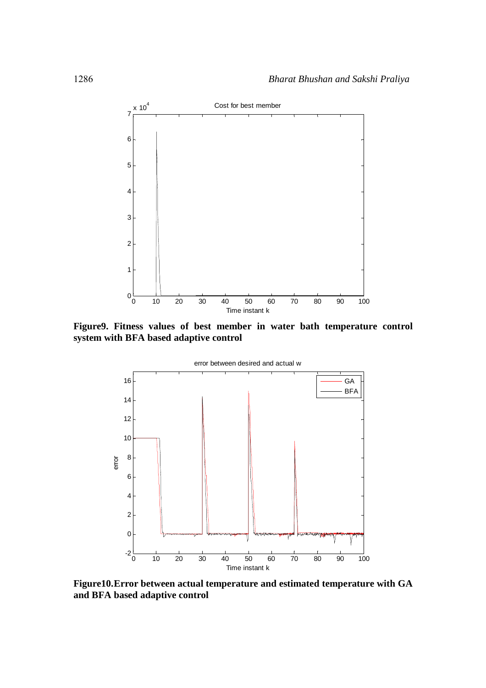

**Figure9. Fitness values of best member in water bath temperature control system with BFA based adaptive control**



**Figure10.Error between actual temperature and estimated temperature with GA and BFA based adaptive control**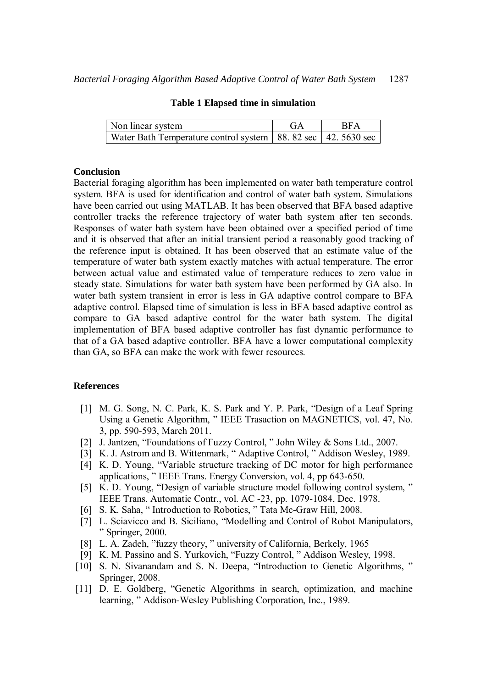| Non linear system                                                 | GA | <b>RFA</b> |
|-------------------------------------------------------------------|----|------------|
| Water Bath Temperature control system   88. 82 sec   42. 5630 sec |    |            |

#### **Table 1 Elapsed time in simulation**

### **Conclusion**

Bacterial foraging algorithm has been implemented on water bath temperature control system. BFA is used for identification and control of water bath system. Simulations have been carried out using MATLAB. It has been observed that BFA based adaptive controller tracks the reference trajectory of water bath system after ten seconds. Responses of water bath system have been obtained over a specified period of time and it is observed that after an initial transient period a reasonably good tracking of the reference input is obtained. It has been observed that an estimate value of the temperature of water bath system exactly matches with actual temperature. The error between actual value and estimated value of temperature reduces to zero value in steady state. Simulations for water bath system have been performed by GA also. In water bath system transient in error is less in GA adaptive control compare to BFA adaptive control. Elapsed time of simulation is less in BFA based adaptive control as compare to GA based adaptive control for the water bath system. The digital implementation of BFA based adaptive controller has fast dynamic performance to that of a GA based adaptive controller. BFA have a lower computational complexity than GA, so BFA can make the work with fewer resources.

### **References**

- [1] M. G. Song, N. C. Park, K. S. Park and Y. P. Park, "Design of a Leaf Spring Using a Genetic Algorithm, " IEEE Trasaction on MAGNETICS, vol. 47, No. 3, pp. 590-593, March 2011.
- [2] J. Jantzen, "Foundations of Fuzzy Control, " John Wiley & Sons Ltd., 2007.
- [3] K. J. Astrom and B. Wittenmark, " Adaptive Control, " Addison Wesley, 1989.
- [4] K. D. Young, "Variable structure tracking of DC motor for high performance applications, " IEEE Trans. Energy Conversion, vol. 4, pp 643-650.
- [5] K. D. Young, "Design of variable structure model following control system, " IEEE Trans. Automatic Contr., vol. AC -23, pp. 1079-1084, Dec. 1978.
- [6] S. K. Saha, " Introduction to Robotics, " Tata Mc-Graw Hill, 2008.
- [7] L. Sciavicco and B. Siciliano, "Modelling and Control of Robot Manipulators, " Springer, 2000.
- [8] L. A. Zadeh, "fuzzy theory, " university of California, Berkely, 1965
- [9] K. M. Passino and S. Yurkovich, "Fuzzy Control, " Addison Wesley, 1998.
- [10] S. N. Sivanandam and S. N. Deepa, "Introduction to Genetic Algorithms," Springer, 2008.
- [11] D. E. Goldberg, "Genetic Algorithms in search, optimization, and machine learning, " Addison-Wesley Publishing Corporation, Inc., 1989.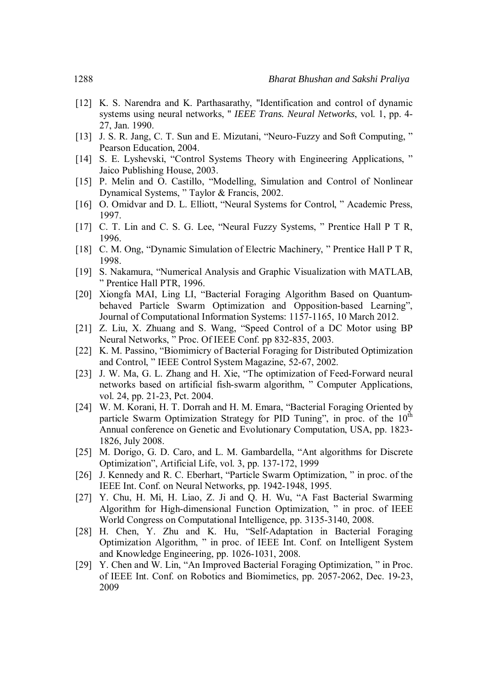- [12] K. S. Narendra and K. Parthasarathy, "Identification and control of dynamic systems using neural networks, " *IEEE Trans. Neural Networks*, vol. 1, pp. 4- 27, Jan. 1990.
- [13] J. S. R. Jang, C. T. Sun and E. Mizutani, "Neuro-Fuzzy and Soft Computing," Pearson Education, 2004.
- [14] S. E. Lyshevski, "Control Systems Theory with Engineering Applications, " Jaico Publishing House, 2003.
- [15] P. Melin and O. Castillo, "Modelling, Simulation and Control of Nonlinear Dynamical Systems, " Taylor & Francis, 2002.
- [16] O. Omidvar and D. L. Elliott, "Neural Systems for Control, " Academic Press, 1997.
- [17] C. T. Lin and C. S. G. Lee, "Neural Fuzzy Systems, " Prentice Hall P T R, 1996.
- [18] C. M. Ong, "Dynamic Simulation of Electric Machinery, " Prentice Hall P T R, 1998.
- [19] S. Nakamura, "Numerical Analysis and Graphic Visualization with MATLAB, " Prentice Hall PTR, 1996.
- [20] Xiongfa MAI, Ling LI, "Bacterial Foraging Algorithm Based on Quantumbehaved Particle Swarm Optimization and Opposition-based Learning", Journal of Computational Information Systems: 1157-1165, 10 March 2012.
- [21] Z. Liu, X. Zhuang and S. Wang, "Speed Control of a DC Motor using BP Neural Networks, " Proc. Of IEEE Conf. pp 832-835, 2003.
- [22] K. M. Passino, "Biomimicry of Bacterial Foraging for Distributed Optimization and Control, " IEEE Control System Magazine, 52-67, 2002.
- [23] J. W. Ma, G. L. Zhang and H. Xie, "The optimization of Feed-Forward neural networks based on artificial fish-swarm algorithm, " Computer Applications, vol. 24, pp. 21-23, Pct. 2004.
- [24] W. M. Korani, H. T. Dorrah and H. M. Emara, "Bacterial Foraging Oriented by particle Swarm Optimization Strategy for PID Tuning", in proc. of the  $10<sup>th</sup>$ Annual conference on Genetic and Evolutionary Computation, USA, pp. 1823- 1826, July 2008.
- [25] M. Dorigo, G. D. Caro, and L. M. Gambardella, "Ant algorithms for Discrete" Optimization", Artificial Life, vol. 3, pp. 137-172, 1999
- [26] J. Kennedy and R. C. Eberhart, "Particle Swarm Optimization, " in proc. of the IEEE Int. Conf. on Neural Networks, pp. 1942-1948, 1995.
- [27] Y. Chu, H. Mi, H. Liao, Z. Ji and Q. H. Wu, "A Fast Bacterial Swarming Algorithm for High-dimensional Function Optimization, " in proc. of IEEE World Congress on Computational Intelligence, pp. 3135-3140, 2008.
- [28] H. Chen, Y. Zhu and K. Hu, "Self-Adaptation in Bacterial Foraging Optimization Algorithm, " in proc. of IEEE Int. Conf. on Intelligent System and Knowledge Engineering, pp. 1026-1031, 2008.
- [29] Y. Chen and W. Lin, "An Improved Bacterial Foraging Optimization," in Proc. of IEEE Int. Conf. on Robotics and Biomimetics, pp. 2057-2062, Dec. 19-23, 2009